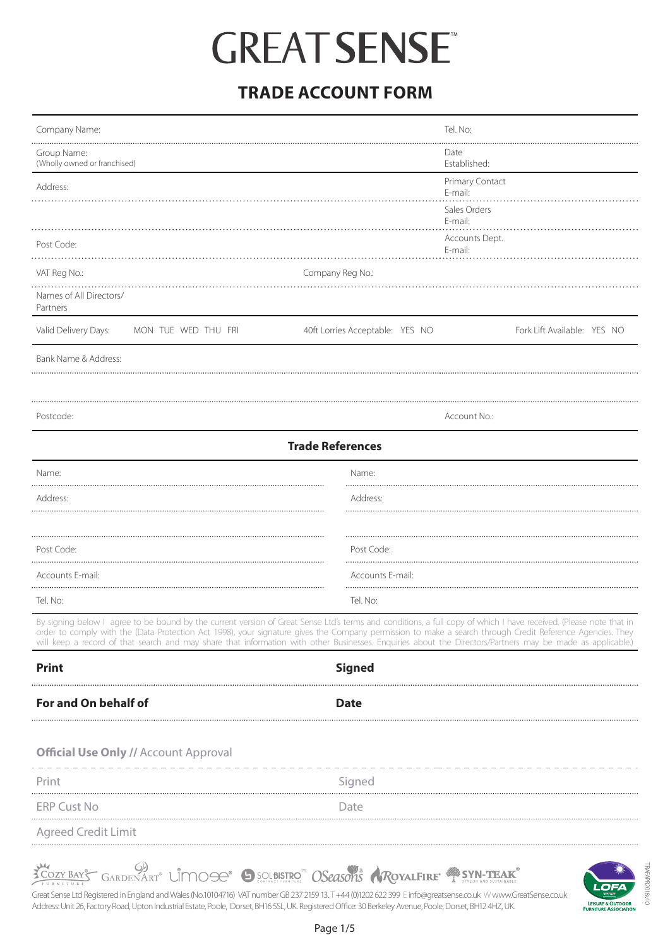### **TRADE ACCOUNT FORM**

| Company Name:                                                                                                                                                                                                                                                                                                                                                                                                                                                                                |                                 | Tel. No:                    |
|----------------------------------------------------------------------------------------------------------------------------------------------------------------------------------------------------------------------------------------------------------------------------------------------------------------------------------------------------------------------------------------------------------------------------------------------------------------------------------------------|---------------------------------|-----------------------------|
| Group Name:<br>(Wholly owned or franchised)                                                                                                                                                                                                                                                                                                                                                                                                                                                  |                                 | Date<br>Established:        |
| Address:                                                                                                                                                                                                                                                                                                                                                                                                                                                                                     |                                 | Primary Contact<br>E-mail:  |
|                                                                                                                                                                                                                                                                                                                                                                                                                                                                                              |                                 | Sales Orders<br>E-mail:     |
| Post Code:                                                                                                                                                                                                                                                                                                                                                                                                                                                                                   |                                 | Accounts Dept.<br>E-mail:   |
| VAT Reg No.:                                                                                                                                                                                                                                                                                                                                                                                                                                                                                 | Company Reg No.:                |                             |
| Names of All Directors/<br>Partners                                                                                                                                                                                                                                                                                                                                                                                                                                                          |                                 |                             |
| Valid Delivery Days:<br>MON TUE WED THU FRI                                                                                                                                                                                                                                                                                                                                                                                                                                                  | 40ft Lorries Acceptable: YES NO | Fork Lift Available: YES NO |
| Bank Name & Address:                                                                                                                                                                                                                                                                                                                                                                                                                                                                         |                                 |                             |
|                                                                                                                                                                                                                                                                                                                                                                                                                                                                                              |                                 |                             |
| Postcode:                                                                                                                                                                                                                                                                                                                                                                                                                                                                                    |                                 | Account No.:                |
| <b>Trade References</b>                                                                                                                                                                                                                                                                                                                                                                                                                                                                      |                                 |                             |
| Name:                                                                                                                                                                                                                                                                                                                                                                                                                                                                                        | Name:<br>                       |                             |
| Address:                                                                                                                                                                                                                                                                                                                                                                                                                                                                                     | Address:                        |                             |
|                                                                                                                                                                                                                                                                                                                                                                                                                                                                                              |                                 |                             |
| Post Code:                                                                                                                                                                                                                                                                                                                                                                                                                                                                                   | Post Code:                      |                             |
| Accounts E-mail:                                                                                                                                                                                                                                                                                                                                                                                                                                                                             | Accounts E-mail:                |                             |
| Tel. No:                                                                                                                                                                                                                                                                                                                                                                                                                                                                                     | Tel. No:                        |                             |
| By signing below I agree to be bound by the current version of Great Sense Ltd's terms and conditions, a full copy of which I have received. (Please note that in<br>order to comply with the (Data Protection Act 1998), your signature gives the Company permission to make a search through Credit Reference Agencies. They<br>will keep a record of that search and may share that information with other Businesses. Enquiries about the Directors/Partners may be made as applicable.) |                                 |                             |
| <b>Print</b>                                                                                                                                                                                                                                                                                                                                                                                                                                                                                 | <b>Signed</b>                   |                             |
| For and On behalf of                                                                                                                                                                                                                                                                                                                                                                                                                                                                         | <b>Date</b>                     |                             |
|                                                                                                                                                                                                                                                                                                                                                                                                                                                                                              |                                 |                             |
| <b>Official Use Only // Account Approval</b>                                                                                                                                                                                                                                                                                                                                                                                                                                                 |                                 |                             |
| Print                                                                                                                                                                                                                                                                                                                                                                                                                                                                                        | Signed                          |                             |
| <b>ERP Cust No</b>                                                                                                                                                                                                                                                                                                                                                                                                                                                                           | Date                            |                             |
|                                                                                                                                                                                                                                                                                                                                                                                                                                                                                              |                                 |                             |

Agreed Credit Limit . . . . . . . . . . . . . . . . . .

**YOUR BAYS GARDENART<sup>®</sup> LIMOGE<sup>®</sup> SUBSTRO<sup>™</sup> OSeasons RoyalFIRE<sup>®</sup> <sup>2</sup>SYN-TEAK** 

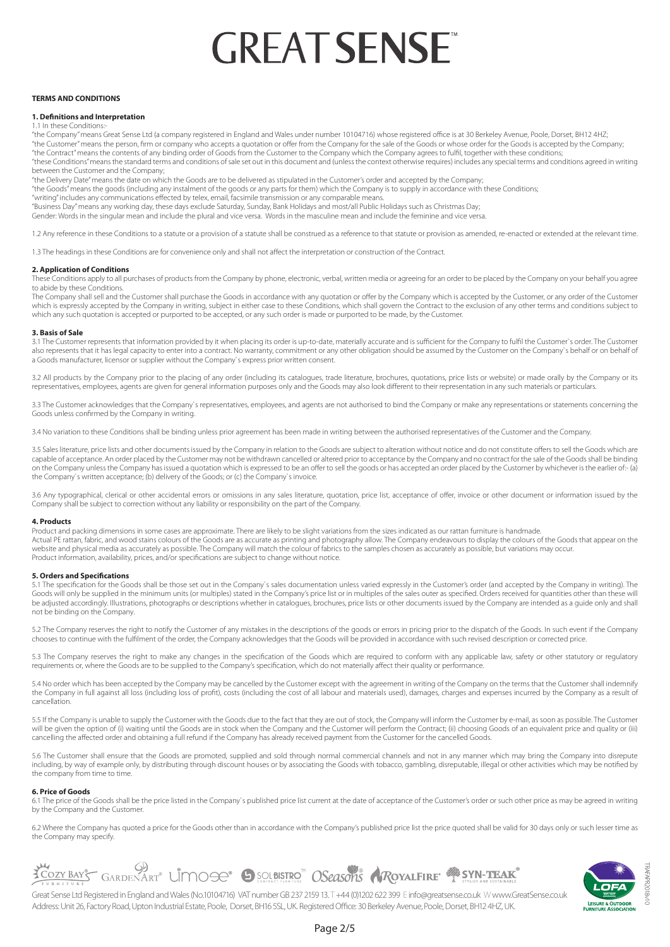### **TERMS AND CONDITIONS**

### **1. Definitions and Interpretation**

1.1 In these Conditions:

"the Company" means Great Sense Ltd (a company registered in England and Wales under number 10104716) whose registered office is at 30 Berkeley Avenue, Poole, Dorset, BH12 4HZ; "the Customer" means the person, firm or company who accepts a quotation or offer from the Company for the sale of the Goods or whose order for the Goods is accepted by the Company;

"the Contract" means the contents of any binding order of Goods from the Customer to the Company which the Company agrees to fulfil, together with these conditions;

"these Conditions" means the standard terms and conditions of sale set out in this document and (unless the context otherwise requires) includes any special terms and conditions agreed in writing between the Customer and the Company;

"the Delivery Date" means the date on which the Goods are to be delivered as stipulated in the Customer's order and accepted by the Company;

"the Goods" means the goods (including any instalment of the goods or any parts for them) which the Company is to supply in accordance with these Conditions;

"writing" includes any communications effected by telex, email, facsimile transmission or any comparable means.

"Business Day" means any working day, these days exclude Saturday, Sunday, Bank Holidays and most/all Public Holidays such as Christmas Day;

Gender: Words in the singular mean and include the plural and vice versa. Words in the masculine mean and include the feminine and vice versa.

1.2 Any reference in these Conditions to a statute or a provision of a statute shall be construed as a reference to that statute or provision as amended, re-enacted or extended at the relevant time.

1.3 The headings in these Conditions are for convenience only and shall not affect the interpretation or construction of the Contract.

### **2. Application of Conditions**

These Conditions apply to all purchases of products from the Company by phone, electronic, verbal, written media or agreeing for an order to be placed by the Company on your behalf you agree to abide by these Conditions.

The Company shall sell and the Customer shall purchase the Goods in accordance with any quotation or offer by the Company which is accepted by the Customer, or any order of the Customer which is expressly accepted by the Company in writing, subject in either case to these Conditions, which shall govern the Contract to the exclusion of any other terms and conditions subject to which any such quotation is accepted or purported to be accepted, or any such order is made or purported to be made, by the Customer.

### **3. Basis of Sale**

3.1 The Customer represents that information provided by it when placing its order is up-to-date, materially accurate and is sufficient for the Company to fulfil the Customer`s order. The Customer also represents that it has legal capacity to enter into a contract. No warranty, commitment or any other obligation should be assumed by the Customer on the Company's behalf or on behalf or on behalf or on behalf or on be a Goods manufacturer, licensor or supplier without the Company`s express prior written consent.

3.2 All products by the Company prior to the placing of any order (including its catalogues, trade literature, brochures, quotations, price lists or website) or made orally by the Company or its representatives, employees, agents are given for general information purposes only and the Goods may also look different to their representation in any such materials or particulars.

3.3 The Customer acknowledges that the Company's representatives, employees, and agents are not authorised to bind the Company or make any representations or statements concerning the Goods unless confirmed by the Company in writing.

3.4 No variation to these Conditions shall be binding unless prior agreement has been made in writing between the authorised representatives of the Customer and the Company.

3.5 Sales literature, price lists and other documents issued by the Company in relation to the Goods are subject to alteration without notice and do not constitute offers to sell the Goods which are capable of acceptance. An order placed by the Customer may not be withdrawn cancelled or altered prior to acceptance by the Company and no contract for the sale of the Goods shall be binding on the Company unless the Company has issued a quotation which is expressed to be an offer to sell the goods or has accepted an order placed by the Customer by whichever is the earlier of:- (a) the Company`s written acceptance; (b) delivery of the Goods; or (c) the Company`s invoice.

3.6 Any typographical, clerical or other accidental errors or omissions in any sales literature, quotation, price list, acceptance of offer, invoice or other document or information issued by the Company shall be subject to correction without any liability or responsibility on the part of the Company.

### **4. Products**

Product and packing dimensions in some cases are approximate. There are likely to be slight variations from the sizes indicated as our rattan furniture is handmade. Actual PE rattan, fabric, and wood stains colours of the Goods are as accurate as printing and photography allow. The Company endeavours to display the colours of the Goods that appear on the website and physical media as accurately as possible. The Company will match the colour of fabrics to the samples chosen as accurately as possible, but variations may occur. Product information, availability, prices, and/or specifications are subject to change without notice.

### **5. Orders and Specifications**

5.1 The specification for the Goods shall be those set out in the Company`s sales documentation unless varied expressly in the Customer's order (and accepted by the Company in writing). The Goods will only be supplied in the minimum units (or multiples) stated in the Company's price list or in multiples of the sales outer as specified. Orders received for quantities other than these will be adjusted accordingly. Illustrations, photographs or descriptions whether in catalogues, brochures, price lists or other documents issued by the Company are intended as a guide only and shall not be binding on the Company.

5.2 The Company reserves the right to notify the Customer of any mistakes in the descriptions of the goods or errors in pricing prior to the dispatch of the Goods. In such event if the Company chooses to continue with the fulfilment of the order, the Company acknowledges that the Goods will be provided in accordance with such revised description or corrected price.

5.3 The Company reserves the right to make any changes in the specification of the Goods which are required to conform with any applicable law, safety or other statutory or regulatory requirements or, where the Goods are to be supplied to the Company's specification, which do not materially affect their quality or performance.

5.4 No order which has been accepted by the Company may be cancelled by the Customer except with the agreement in writing of the Company on the terms that the Customer shall indemnify the Company in full against all loss (including loss of profit), costs (including the cost of all labour and materials used), damages, charges and expenses incurred by the Company as a result of cancellation.

5.5 If the Company is unable to supply the Customer with the Goods due to the fact that they are out of stock, the Company will inform the Customer by e-mail, as soon as possible. The Customer will be given the option of (i) waiting until the Goods are in stock when the Company and the Customer will perform the Contract; (ii) choosing Goods of an equivalent price and quality or (iii) cancelling the affected order and obtaining a full refund if the Company has already received payment from the Customer for the cancelled Goods.

5.6 The Customer shall ensure that the Goods are promoted, supplied and sold through normal commercial channels and not in any manner which may bring the Company into disrepute including, by way of example only, by distributing through discount houses or by associating the Goods with tobacco, gambling, disreputable, illegal or other activities which may be notified by the company from time to time.

### **6. Price of Goods**

6.1 The price of the Goods shall be the price listed in the Company's published price list current at the date of acceptance of the Customer's order or such other price as may be agreed in writing by the Company and the Customer.

6.2 Where the Company has quoted a price for the Goods other than in accordance with the Company's published price list the price quoted shall be valid for 30 days only or such lesser time as the Company may specify.



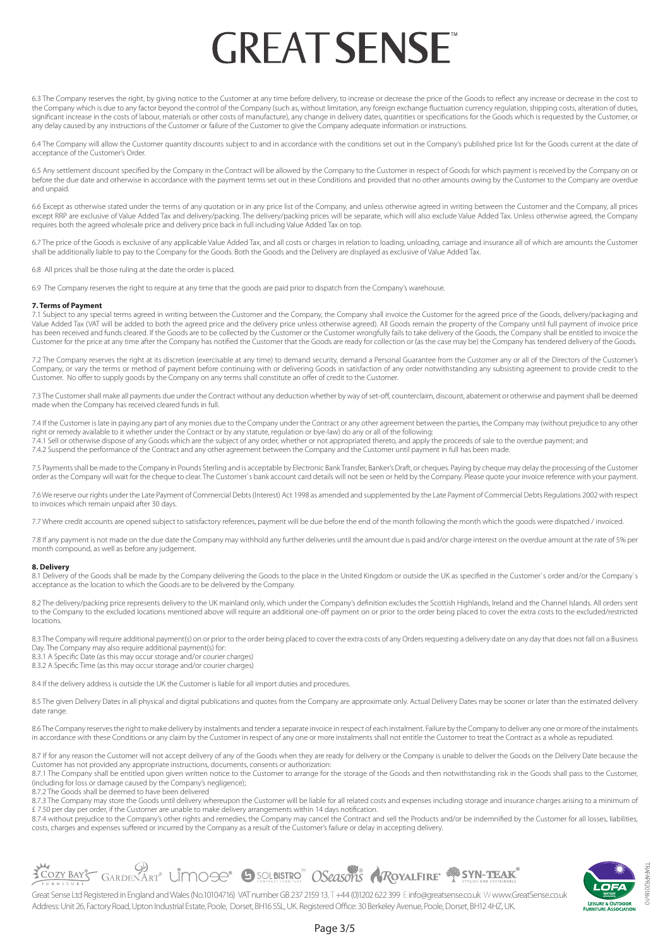6.3 The Company reserves the right, by giving notice to the Customer at any time before delivery, to increase or decrease the price of the Goods to reflect any increase or decrease in the cost to the Company which is due to any factor beyond the control of the Company (such as, without limitation, any foreign exchange fluctuation currency regulation, shipping costs, alteration of duties, significant increase in the costs of labour, materials or other costs of manufacture), any change in delivery dates, quantities or specifications for the Goods which is requested by the Customer, or any delay caused by any instructions of the Customer or failure of the Customer to give the Company adequate information or instructions.

6.4 The Company will allow the Customer quantity discounts subject to and in accordance with the conditions set out in the Company's published price list for the Goods current at the date of acceptance of the Customer's Order.

6.5 Any settlement discount specified by the Company in the Contract will be allowed by the Company to the Customer in respect of Goods for which payment is received by the Company on or before the due date and otherwise in accordance with the payment terms set out in these Conditions and provided that no other amounts owing by the Customer to the Company are overdue and unpaid.

6.6 Except as otherwise stated under the terms of any quotation or in any price list of the Company, and unless otherwise agreed in writing between the Customer and the Company, all prices except RRP are exclusive of Value Added Tax and delivery/packing. The delivery/packing prices will be separate, which will also exclude Value Added Tax. Unless otherwise agreed, the Company requires both the agreed wholesale price and delivery price back in full including Value Added Tax on top.

6.7 The price of the Goods is exclusive of any applicable Value Added Tax, and all costs or charges in relation to loading, unloading, carriage and insurance all of which are amounts the Customer shall be additionally liable to pay to the Company for the Goods. Both the Goods and the Delivery are displayed as exclusive of Value Added Tax.

6.8 All prices shall be those ruling at the date the order is placed.

6.9 The Company reserves the right to require at any time that the goods are paid prior to dispatch from the Company's warehouse.

### **7. Terms of Payment**

Subject to any special terms agreed in writing between the Customer and the Company, the Company shall invoice the Customer for the agreed price of the Goods, delivery/packaging and Value Added Tax (VAT will be added to both the agreed price and the delivery price unless otherwise agreed). All Goods remain the property of the Company until full payment of invoice price has been received and funds cleared. If the Goods are to be collected by the Customer or the Customer wrongfully fails to take delivery of the Goods, the Company shall be entitled to invoice the Customer for the price at any time after the Company has notified the Customer that the Goods are ready for collection or (as the case may be) the Company has tendered delivery of the Goods.

7.2 The Company reserves the right at its discretion (exercisable at any time) to demand security, demand a Personal Guarantee from the Customer any or all of the Directors of the Customer's Company, or vary the terms or method of payment before continuing with or delivering Goods in satisfaction of any order notwithstanding any subsisting agreement to provide credit to the Customer. No offer to supply goods by the Company on any terms shall constitute an offer of credit to the Customer.

7.3 The Customer shall make all payments due under the Contract without any deduction whether by way of set-off, counterclaim, discount, abatement or otherwise and payment shall be deemed made when the Company has received cleared funds in full.

7.4 If the Customer is late in paying any part of any monies due to the Company under the Contract or any other agreement between the parties, the Company may (without prejudice to any other right or remedy available to it whether under the Contract or by any statute, regulation or bye-law) do any or all of the following:

7.4.1 Sell or otherwise dispose of any Goods which are the subject of any order, whether or not appropriated thereto, and apply the proceeds of sale to the overdue payment; and 7.4.2 Suspend the performance of the Contract and any other agreement between the Company and the Customer until payment in full has been made.

7.5 Payments shall be made to the Company in Pounds Sterling and is acceptable by Electronic Bank Transfer, Banker's Draft, or cheques. Paying by cheque may delay the processing of the Customer order as the Company will wait for the cheque to clear. The Customer`s bank account card details will not be seen or held by the Company. Please quote your invoice reference with your payment.

7.6 We reserve our rights under the Late Payment of Commercial Debts (Interest) Act 1998 as amended and supplemented by the Late Payment of Commercial Debts Regulations 2002 with respect to invoices which remain unpaid after 30 days.

7.7 Where credit accounts are opened subject to satisfactory references, payment will be due before the end of the month following the month which the goods were dispatched / invoiced.

7.8 If any payment is not made on the due date the Company may withhold any further deliveries until the amount due is paid and/or charge interest on the overdue amount at the rate of 5% per month compound, as well as before any judgement.

### **8. Delivery**

8.1 Delivery of the Goods shall be made by the Company delivering the Goods to the place in the United Kingdom or outside the UK as specified in the Customer's order and/or the Company's acceptance as the location to which the Goods are to be delivered by the Company.

8.2 The delivery/packing price represents delivery to the UK mainland only, which under the Company's definition excludes the Scottish Highlands, Ireland and the Channel Islands. All orders sent to the Company to the excluded locations mentioned above will require an additional one-off payment on or prior to the order being placed to cover the extra costs to the excluded/restricted locations.

8.3 The Company will require additional payment(s) on or prior to the order being placed to cover the extra costs of any Orders requesting a delivery date on any day that does not fall on a Business Day. The Company may also require additional payment(s) for:

8.3.1 A Specific Date (as this may occur storage and/or courier charges)

8.3.2 A Specific Time (as this may occur storage and/or courier charges)

8.4 If the delivery address is outside the UK the Customer is liable for all import duties and procedures.

8.5 The given Delivery Dates in all physical and digital publications and quotes from the Company are approximate only. Actual Delivery Dates may be sooner or later than the estimated delivery date range.

8.6 The Company reserves the right to make delivery by instalments and tender a separate invoice in respect of each instalment. Failure by the Company to deliver any one or more of the instalments in accordance with these Conditions or any claim by the Customer in respect of any one or more instalments shall not entitle the Customer to treat the Contract as a whole as repudiated.

8.7 If for any reason the Customer will not accept delivery of any of the Goods when they are ready for delivery or the Company is unable to deliver the Goods on the Delivery Date because the Customer has not provided any appropriate instructions, documents, consents or authorization:

8.7.1 The Company shall be entitled upon given written notice to the Customer to arrange for the storage of the Goods and then notwithstanding risk in the Goods shall pass to the Customer, (including for loss or damage caused by the Company's negligence);

8.7.2 The Goods shall be deemed to have been delivered

8.7.3 The Company may store the Goods until delivery whereupon the Customer will be liable for all related costs and expenses including storage and insurance charges arising to a minimum of £ 7.50 per day per order, if the Customer are unable to make delivery arrangements within 14 days notification.

8.7.4 without prejudice to the Company's other rights and remedies, the Company may cancel the Contract and sell the Products and/or be indemnified by the Customer for all losses, liabilities, costs, charges and expenses suffered or incurred by the Company as a result of the Customer's failure or delay in accepting delivery.



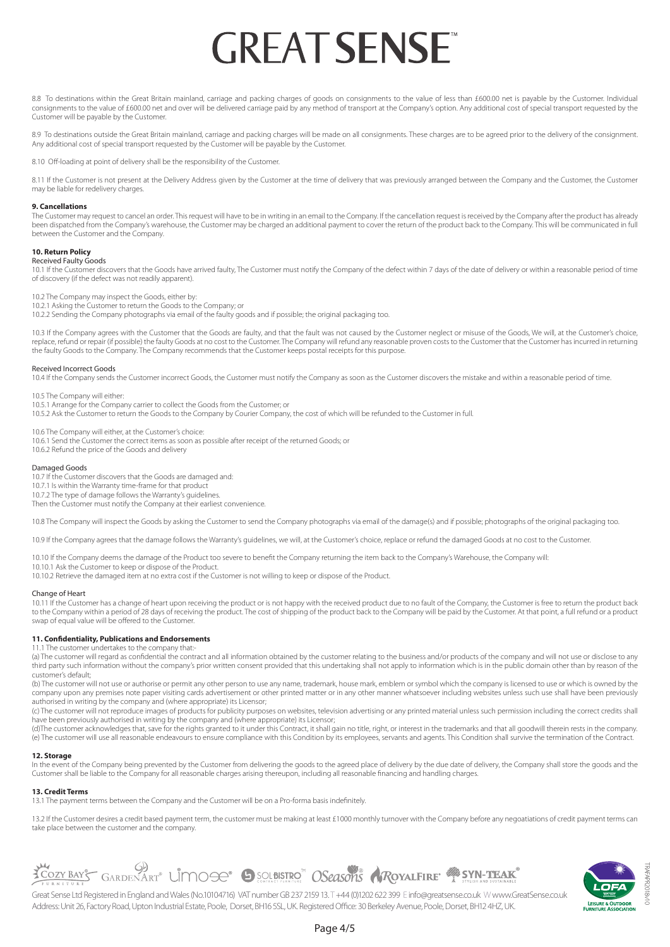8.8 To destinations within the Great Britain mainland, carriage and packing charges of goods on consignments to the value of less than £600.00 net is payable by the Customer. Individual consignments to the value of £600.00 net and over will be delivered carriage paid by any method of transport at the Company's option. Any additional cost of special transport requested by the Customer will be payable by the Customer.

8.9 To destinations outside the Great Britain mainland, carriage and packing charges will be made on all consignments. These charges are to be agreed prior to the delivery of the consignment. Any additional cost of special transport requested by the Customer will be payable by the Customer.

8.10 Off-loading at point of delivery shall be the responsibility of the Customer.

8.11 If the Customer is not present at the Delivery Address given by the Customer at the time of delivery that was previously arranged between the Company and the Customer, the Customer may be liable for redelivery charges.

### **9. Cancellations**

The Customer may request to cancel an order. This request will have to be in writing in an email to the Company. If the cancellation request is received by the Company after the product has already been dispatched from the Company's warehouse, the Customer may be charged an additional payment to cover the return of the product back to the Company. This will be communicated in full between the Customer and the Company.

### **10. Return Policy**

Received Faulty Goods 10.1 If the Customer discovers that the Goods have arrived faulty, The Customer must notify the Company of the defect within 7 days of the date of delivery or within a reasonable period of time of discovery (if the defect was not readily apparent).

10.2 The Company may inspect the Goods, either by:

10.2.1 Asking the Customer to return the Goods to the Company; or

10.2.2 Sending the Company photographs via email of the faulty goods and if possible; the original packaging too.

10.3 If the Company agrees with the Customer that the Goods are faulty, and that the fault was not caused by the Customer neglect or misuse of the Goods, We will, at the Customer's choice, replace, refund or repair (if possible) the faulty Goods at no cost to the Customer. The Company will refund any reasonable proven costs to the Customer that the Customer has incurred in returning the faulty Goods to the Company. The Company recommends that the Customer keeps postal receipts for this purpose.

#### Received Incorrect Goods

10.4 If the Company sends the Customer incorrect Goods, the Customer must notify the Company as soon as the Customer discovers the mistake and within a reasonable period of time.

10.5 The Company will either:

10.5.1 Arrange for the Company carrier to collect the Goods from the Customer; or 10.5.2 Ask the Customer to return the Goods to the Company by Courier Company, the cost of which will be refunded to the Customer in full.

10.6 The Company will either, at the Customer's choice:

10.6.1 Send the Customer the correct items as soon as possible after receipt of the returned Goods; or

10.6.2 Refund the price of the Goods and delivery

### Damaged Goods

10.7 If the Customer discovers that the Goods are damaged and: 10.7.1 Is within the Warranty time-frame for that product

10.7.2 The type of damage follows the Warranty's guidelines.

Then the Customer must notify the Company at their earliest convenience.

10.8 The Company will inspect the Goods by asking the Customer to send the Company photographs via email of the damage(s) and if possible; photographs of the original packaging too.

10.9 If the Company agrees that the damage follows the Warranty's guidelines, we will, at the Customer's choice, replace or refund the damaged Goods at no cost to the Customer.

10.10 If the Company deems the damage of the Product too severe to benefit the Company returning the item back to the Company's Warehouse, the Company will: 10.10.1 Ask the Customer to keep or dispose of the Product.

10.10.2 Retrieve the damaged item at no extra cost if the Customer is not willing to keep or dispose of the Product.

### Change of Heart

10.11 If the Customer has a change of heart upon receiving the product or is not happy with the received product due to no fault of the Company, the Customer is free to return the product back to the Company within a period of 28 days of receiving the product. The cost of shipping of the product back to the Company will be paid by the Customer. At that point, a full refund or a product swap of equal value will be offered to the Customer.

#### **11. Confidentiality, Publications and Endorsements** 11.1 The customer undertakes to the company that:

(a) The customer will regard as confidential the contract and all information obtained by the customer relating to the business and/or products of the company and will not use or disclose to any third party such information without the company's prior written consent provided that this undertaking shall not apply to information which is in the public domain other than by reason of the customer's default;

(b) The customer will not use or authorise or permit any other person to use any name, trademark, house mark, emblem or symbol which the company is licensed to use or which is owned by the company upon any premises note paper visiting cards advertisement or other printed matter or in any other manner whatsoever including websites unless such use shall have been previously authorised in writing by the company and (where appropriate) its Licensor;

(c) The customer will not reproduce images of products for publicity purposes on websites, television advertising or any printed material unless such permission including the correct credits shall have been previously authorised in writing by the company and (where appropriate) its Licensor;

(d)The customer acknowledges that, save for the rights granted to it under this Contract, it shall gain no title, right, or interest in the trademarks and that all goodwill therein rests in the company. (e) The customer will use all reasonable endeavours to ensure compliance with this Condition by its employees, servants and agents. This Condition shall survive the termination of the Contract.

### **12. Storage**

In the event of the Company being prevented by the Customer from delivering the goods to the agreed place of delivery by the due date of delivery, the Company shall store the goods and the Customer shall be liable to the Company for all reasonable charges arising thereupon, including all reasonable financing and handling charges.

### **13. Credit Terms**

13.1 The payment terms between the Company and the Customer will be on a Pro-forma basis indefinitely.

13.2 If the Customer desires a credit based payment term, the customer must be making at least £1000 monthly turnover with the Company before any negoatiations of credit payment terms can take place between the customer and the company.